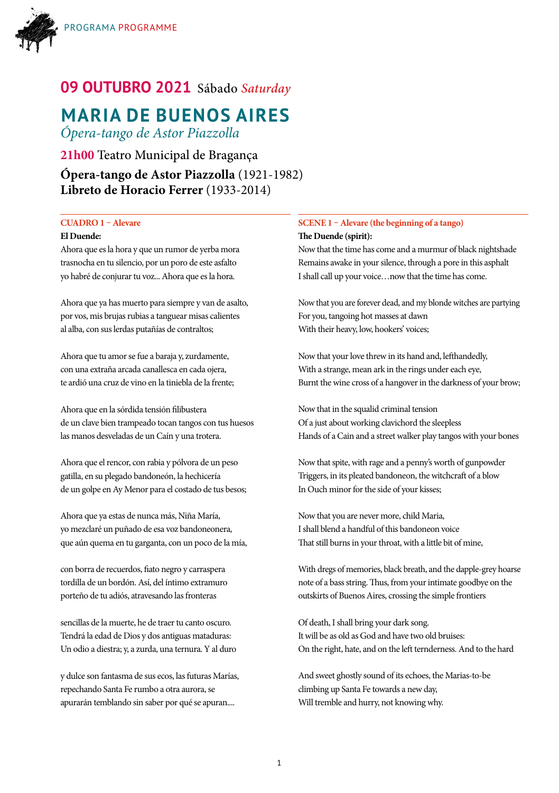

# **09 OUTUBRO 2021** Sábado *Saturday*

# **MARIA DE BUENOS AIRES**

*Ópera-tango de Astor Piazzolla*

**21h00** Teatro Municipal de Bragança **Ópera-tango de Astor Piazzolla** (1921-1982) **Libreto de Horacio Ferrer** (1933-2014)

### **CUADRO 1 – Alevare**

### **El Duende:**

Ahora que es la hora y que un rumor de yerba mora trasnocha en tu silencio, por un poro de este asfalto yo habré de conjurar tu voz... Ahora que es la hora.

Ahora que ya has muerto para siempre y van de asalto, por vos, mis brujas rubias a tanguear misas calientes al alba, con sus lerdas putañías de contraltos;

Ahora que tu amor se fue a baraja y, zurdamente, con una extraña arcada canallesca en cada ojera, te ardió una cruz de vino en la tiniebla de la frente;

Ahora que en la sórdida tensión filibustera de un clave bien trampeado tocan tangos con tus huesos las manos desveladas de un Caín y una trotera.

Ahora que el rencor, con rabia y pólvora de un peso gatilla, en su plegado bandoneón, la hechicería de un golpe en Ay Menor para el costado de tus besos;

Ahora que ya estas de nunca más, Niña María, yo mezclaré un puñado de esa voz bandoneonera, que aún quema en tu garganta, con un poco de la mía,

con borra de recuerdos, fiato negro y carraspera tordilla de un bordón. Así, del íntimo extramuro porteño de tu adiós, atravesando las fronteras

sencillas de la muerte, he de traer tu canto oscuro. Tendrá la edad de Dios y dos antiguas mataduras: Un odio a diestra; y, a zurda, una ternura. Y al duro

y dulce son fantasma de sus ecos, las futuras Marías, repechando Santa Fe rumbo a otra aurora, se apurarán temblando sin saber por qué se apuran....

### **SCENE 1 – Alevare (the beginning of a tango) The Duende (spirit):**

Now that the time has come and a murmur of black nightshade Remains awake in your silence, through a pore in this asphalt I shall call up your voice…now that the time has come.

Now that you are forever dead, and my blonde witches are partying For you, tangoing hot masses at dawn With their heavy, low, hookers' voices;

Now that your love threw in its hand and, lefthandedly, With a strange, mean ark in the rings under each eye, Burnt the wine cross of a hangover in the darkness of your brow;

Now that in the squalid criminal tension Of a just about working clavichord the sleepless Hands of a Cain and a street walker play tangos with your bones

Now that spite, with rage and a penny's worth of gunpowder Triggers, in its pleated bandoneon, the witchcraft of a blow In Ouch minor for the side of your kisses;

Now that you are never more, child Maria, I shall blend a handful of this bandoneon voice That still burns in your throat, with a little bit of mine,

With dregs of memories, black breath, and the dapple-grey hoarse note of a bass string. Thus, from your intimate goodbye on the outskirts of Buenos Aires, crossing the simple frontiers

Of death, I shall bring your dark song. It will be as old as God and have two old bruises: On the right, hate, and on the left ternderness. And to the hard

And sweet ghostly sound of its echoes, the Marias-to-be climbing up Santa Fe towards a new day, Will tremble and hurry, not knowing why.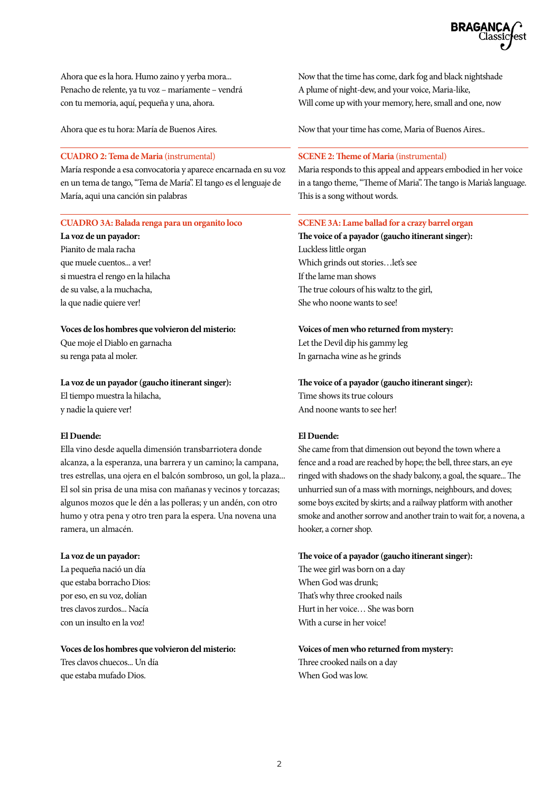

Ahora que es la hora. Humo zaino y yerba mora... Penacho de relente, ya tu voz – maríamente – vendrá con tu memoria, aquí, pequeña y una, ahora.

Ahora que es tu hora: María de Buenos Aires.

### **CUADRO 2: Tema de Maria** (instrumental)

María responde a esa convocatoria y aparece encarnada en su voz en un tema de tango, "Tema de María". El tango es el lenguaje de María, aqui una canción sin palabras

### **CUADRO 3A: Balada renga para un organito loco**

**La voz de un payador:** Pianito de mala racha que muele cuentos... a ver! si muestra el rengo en la hilacha de su valse, a la muchacha, la que nadie quiere ver!

#### **Voces de los hombres que volvieron del misterio:**

Que moje el Diablo en garnacha su renga pata al moler.

#### **La voz de un payador (gaucho itinerant singer):**

El tiempo muestra la hilacha, y nadie la quiere ver!

#### **El Duende:**

Ella vino desde aquella dimensión transbarriotera donde alcanza, a la esperanza, una barrera y un camino; la campana, tres estrellas, una ojera en el balcón sombroso, un gol, la plaza... El sol sin prisa de una misa con mañanas y vecinos y torcazas; algunos mozos que le dén a las polleras; y un andén, con otro humo y otra pena y otro tren para la espera. Una novena una ramera, un almacén.

#### **La voz de un payador:**

La pequeña nació un día que estaba borracho Dios: por eso, en su voz, dolían tres clavos zurdos... Nacía con un insulto en la voz!

### **Voces de los hombres que volvieron del misterio:**

Tres clavos chuecos... Un día que estaba mufado Dios.

Now that the time has come, dark fog and black nightshade A plume of night-dew, and your voice, Maria-like, Will come up with your memory, here, small and one, now

Now that your time has come, Maria of Buenos Aires..

#### **SCENE 2: Theme of Maria** (instrumental)

Maria responds to this appeal and appears embodied in her voice in a tango theme, "Theme of Maria". The tango is Maria's language. This is a song without words.

#### **SCENE 3A: Lame ballad for a crazy barrel organ**

**The voice of a payador (gaucho itinerant singer):** Luckless little organ Which grinds out stories…let's see If the lame man shows The true colours of his waltz to the girl, She who noone wants to see!

#### **Voices of men who returned from mystery:**

Let the Devil dip his gammy leg In garnacha wine as he grinds

#### **The voice of a payador (gaucho itinerant singer):**

Time shows its true colours And noone wants to see her!

#### **El Duende:**

She came from that dimension out beyond the town where a fence and a road are reached by hope; the bell, three stars, an eye ringed with shadows on the shady balcony, a goal, the square... The unhurried sun of a mass with mornings, neighbours, and doves; some boys excited by skirts; and a railway platform with another smoke and another sorrow and another train to wait for, a novena, a hooker, a corner shop.

#### **The voice of a payador (gaucho itinerant singer):**

The wee girl was born on a day When God was drunk; That's why three crooked nails Hurt in her voice… She was born With a curse in her voice!

### **Voices of men who returned from mystery:** Three crooked nails on a day

When God was low.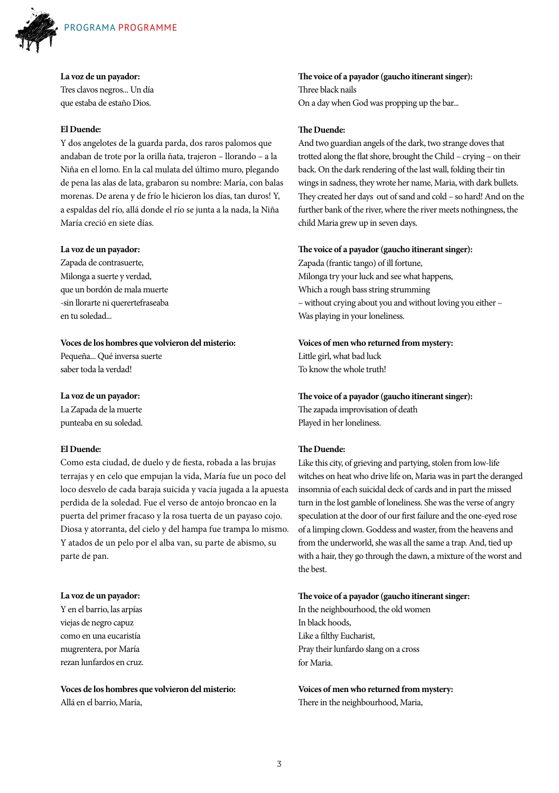

#### **La voz de un payador:**

Tres clavos negros... Un día que estaba de estaño Dios.

#### **El Duende:**

Y dos angelotes de la guarda parda, dos raros palomos que andaban de trote por la orilla ñata, trajeron – llorando – a la Niña en el lomo. En la cal mulata del último muro, plegando de pena las alas de lata, grabaron su nombre: María, con balas morenas. De arena y de frío le hicieron los días, tan duros! Y, a espaldas del río, allá donde el río se junta a la nada, la Niña María creció en siete días.

#### **La voz de un payador:**

Zapada de contrasuerte, Milonga a suerte y verdad, que un bordón de mala muerte -sin llorarte ni querertefraseaba en tu soledad...

#### **Voces de los hombres que volvieron del misterio:**

Pequeña... Qué inversa suerte saber toda la verdad!

#### **La voz de un payador:**

La Zapada de la muerte punteaba en su soledad.

### **El Duende:**

Como esta ciudad, de duelo y de fiesta, robada a las brujas terrajas y en celo que empujan la vida, María fue un poco del loco desvelo de cada baraja suicida y vacía jugada a la apuesta perdida de la soledad. Fue el verso de antojo broncao en la puerta del primer fracaso y la rosa tuerta de un payaso cojo. Diosa y atorranta, del cielo y del hampa fue trampa lo mismo. Y atados de un pelo por el alba van, su parte de abismo, su parte de pan.

### **La voz de un payador:**

Y en el barrio, las arpías viejas de negro capuz como en una eucaristía mugrentera, por María rezan lunfardos en cruz.

**Voces de los hombres que volvieron del misterio:** Allá en el barrio, María,

**The voice of a payador (gaucho itinerant singer):** Three black nails On a day when God was propping up the bar...

#### **The Duende:**

And two guardian angels of the dark, two strange doves that trotted along the flat shore, brought the Child – crying – on their back. On the dark rendering of the last wall, folding their tin wings in sadness, they wrote her name, Maria, with dark bullets. They created her days out of sand and cold – so hard! And on the further bank of the river, where the river meets nothingness, the child Maria grew up in seven days.

#### **The voice of a payador (gaucho itinerant singer):**

Zapada (frantic tango) of ill fortune, Milonga try your luck and see what happens, Which a rough bass string strumming – without crying about you and without loving you either – Was playing in your loneliness.

#### **Voices of men who returned from mystery:**

Little girl, what bad luck To know the whole truth!

**The voice of a payador (gaucho itinerant singer):** The zapada improvisation of death

Played in her loneliness.

### **The Duende:**

Like this city, of grieving and partying, stolen from low-life witches on heat who drive life on, Maria was in part the deranged insomnia of each suicidal deck of cards and in part the missed turn in the lost gamble of loneliness. She was the verse of angry speculation at the door of our first failure and the one-eyed rose of a limping clown. Goddess and waster, from the heavens and from the underworld, she was all the same a trap. And, tied up with a hair, they go through the dawn, a mixture of the worst and the best.

#### **The voice of a payador (gaucho itinerant singer:**

In the neighbourhood, the old women In black hoods, Like a filthy Eucharist, Pray their lunfardo slang on a cross for Maria.

**Voices of men who returned from mystery:** There in the neighbourhood, Maria,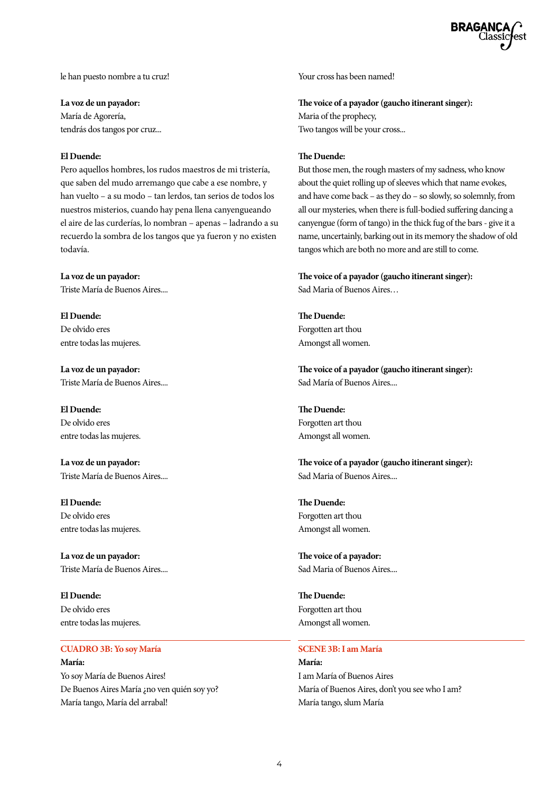le han puesto nombre a tu cruz!

**La voz de un payador:**

María de Agorería, tendrás dos tangos por cruz...

#### **El Duende:**

Pero aquellos hombres, los rudos maestros de mi tristería, que saben del mudo arremango que cabe a ese nombre, y han vuelto – a su modo – tan lerdos, tan serios de todos los nuestros misterios, cuando hay pena llena canyengueando el aire de las curderías, lo nombran – apenas – ladrando a su recuerdo la sombra de los tangos que ya fueron y no existen todavía.

**La voz de un payador:** Triste María de Buenos Aires....

**El Duende:** De olvido eres entre todas las mujeres.

**La voz de un payador:** Triste María de Buenos Aires....

**El Duende:** De olvido eres entre todas las mujeres.

**La voz de un payador:** Triste María de Buenos Aires....

**El Duende:** De olvido eres entre todas las mujeres.

**La voz de un payador:** Triste María de Buenos Aires....

**El Duende:** De olvido eres entre todas las mujeres.

#### **CUADRO 3B: Yo soy María María:**

Yo soy María de Buenos Aires! De Buenos Aires María ¿no ven quién soy yo? María tango, María del arrabal!

Your cross has been named!

**The voice of a payador (gaucho itinerant singer):** Maria of the prophecy, Two tangos will be your cross...

#### **The Duende:**

But those men, the rough masters of my sadness, who know about the quiet rolling up of sleeves which that name evokes, and have come back – as they do – so slowly, so solemnly, from all our mysteries, when there is full-bodied suffering dancing a canyengue (form of tango) in the thick fug of the bars - give it a name, uncertainly, barking out in its memory the shadow of old tangos which are both no more and are still to come.

**The voice of a payador (gaucho itinerant singer):** Sad Maria of Buenos Aires…

**The Duende:** Forgotten art thou Amongst all women.

**The voice of a payador (gaucho itinerant singer):** Sad María of Buenos Aires....

**The Duende:** Forgotten art thou Amongst all women.

**The voice of a payador (gaucho itinerant singer):** Sad Maria of Buenos Aires....

**The Duende:** Forgotten art thou Amongst all women.

**The voice of a payador:** Sad Maria of Buenos Aires....

**The Duende:** Forgotten art thou Amongst all women.

#### **SCENE 3B: I am María**

**María:** I am María of Buenos Aires María of Buenos Aires, don't you see who I am? María tango, slum María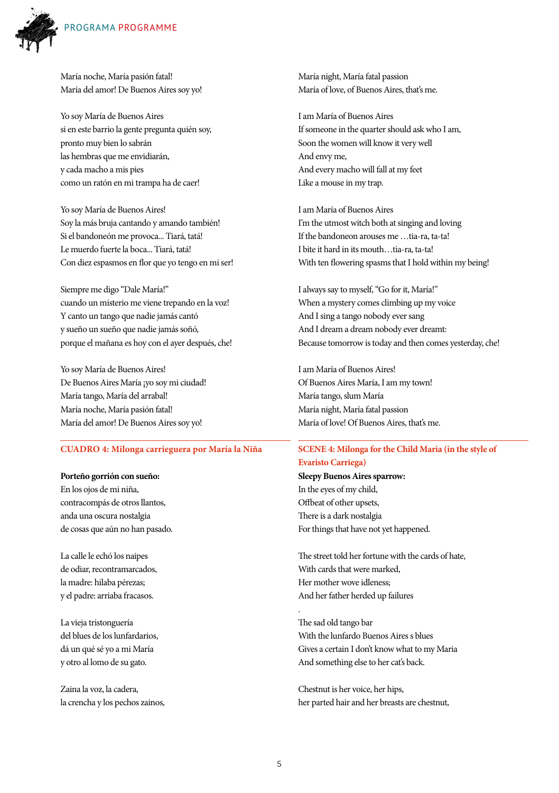

María noche, María pasión fatal! María del amor! De Buenos Aires soy yo!

Yo soy María de Buenos Aires si en este barrio la gente pregunta quién soy, pronto muy bien lo sabrán las hembras que me envidiarán, y cada macho a mis pies como un ratón en mi trampa ha de caer!

Yo soy María de Buenos Aires! Soy la más bruja cantando y amando también! Si el bandoneón me provoca... Tiará, tatá! Le muerdo fuerte la boca... Tiará, tatá! Con diez espasmos en flor que yo tengo en mi ser!

Siempre me digo "Dale María!" cuando un misterio me viene trepando en la voz! Y canto un tango que nadie jamás cantó y sueño un sueño que nadie jamás soñó, porque el mañana es hoy con el ayer después, che!

Yo soy María de Buenos Aires! De Buenos Aires María ¡yo soy mi ciudad! María tango, María del arrabal! María noche, María pasión fatal! María del amor! De Buenos Aires soy yo!

#### **CUADRO 4: Milonga carrieguera por María la Niña**

#### **Porteño gorrión con sueño:**

En los ojos de mi niña, contracompás de otros llantos, anda una oscura nostalgia de cosas que aún no han pasado.

La calle le echó los naipes de odiar, recontramarcados, la madre: hilaba pérezas; y el padre: arriaba fracasos.

La vieja tristonguería del blues de los lunfardarios, dá un qué sé yo a mi María y otro al lomo de su gato.

Zaina la voz, la cadera, la crencha y los pechos zainos, María night, María fatal passion María of love, of Buenos Aires, that's me.

I am María of Buenos Aires If someone in the quarter should ask who I am, Soon the women will know it very well And envy me, And every macho will fall at my feet Like a mouse in my trap.

I am María of Buenos Aires I'm the utmost witch both at singing and loving If the bandoneon arouses me — tia-ra, ta-ta! I bite it hard in its mouth…tia-ra, ta-ta! With ten flowering spasms that I hold within my being!

I always say to myself, "Go for it, María!" When a mystery comes climbing up my voice And I sing a tango nobody ever sang And I dream a dream nobody ever dreamt: Because tomorrow is today and then comes yesterday, che!

I am María of Buenos Aires! Of Buenos Aires María, I am my town! María tango, slum María María night, María fatal passion María of love! Of Buenos Aires, that's me.

### **SCENE 4: Milonga for the Child Maria (in the style of Evaristo Carriega)**

**Sleepy Buenos Aires sparrow:** In the eyes of my child, Offbeat of other upsets, There is a dark nostalgia For things that have not yet happened.

The street told her fortune with the cards of hate, With cards that were marked, Her mother wove idleness; And her father herded up failures

The sad old tango bar With the lunfardo Buenos Aires s blues Gives a certain I don't know what to my Maria And something else to her cat's back.

Chestnut is her voice, her hips, her parted hair and her breasts are chestnut,

.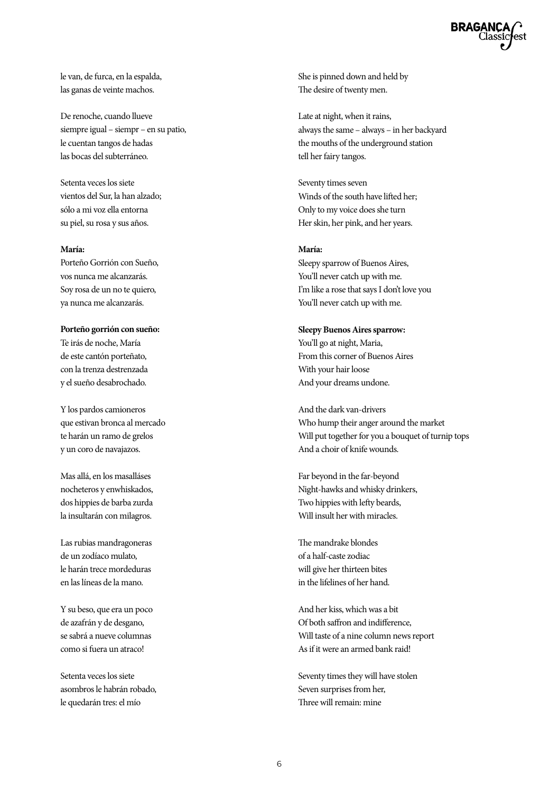le van, de furca, en la espalda, las ganas de veinte machos.

De renoche, cuando llueve siempre igual – siempr – en su patio, le cuentan tangos de hadas las bocas del subterráneo.

Setenta veces los siete vientos del Sur, la han alzado; sólo a mi voz ella entorna su piel, su rosa y sus años.

#### **María:**

Porteño Gorrión con Sueño, vos nunca me alcanzarás. Soy rosa de un no te quiero, ya nunca me alcanzarás.

**Porteño gorrión con sueño:** Te irás de noche, María de este cantón porteñato, con la trenza destrenzada y el sueño desabrochado.

Y los pardos camioneros que estivan bronca al mercado te harán un ramo de grelos y un coro de navajazos.

Mas allá, en los masalláses nocheteros y enwhiskados, dos hippies de barba zurda la insultarán con milagros.

Las rubias mandragoneras de un zodíaco mulato, le harán trece mordeduras en las líneas de la mano.

Y su beso, que era un poco de azafrán y de desgano, se sabrá a nueve columnas como si fuera un atraco!

Setenta veces los siete asombros le habrán robado, le quedarán tres: el mío

She is pinned down and held by The desire of twenty men.

Late at night, when it rains, always the same – always – in her backyard the mouths of the underground station tell her fairy tangos.

Seventy times seven Winds of the south have lifted her; Only to my voice does she turn Her skin, her pink, and her years.

#### **María:**

Sleepy sparrow of Buenos Aires, You'll never catch up with me. I'm like a rose that says I don't love you You'll never catch up with me.

#### **Sleepy Buenos Aires sparrow:**

You'll go at night, Maria, From this corner of Buenos Aires With your hair loose And your dreams undone.

And the dark van-drivers Who hump their anger around the market Will put together for you a bouquet of turnip tops And a choir of knife wounds.

Far beyond in the far-beyond Night-hawks and whisky drinkers, Two hippies with lefty beards, Will insult her with miracles.

The mandrake blondes of a half-caste zodiac will give her thirteen bites in the lifelines of her hand.

And her kiss, which was a bit Of both saffron and indifference, Will taste of a nine column news report As if it were an armed bank raid!

Seventy times they will have stolen Seven surprises from her, Three will remain: mine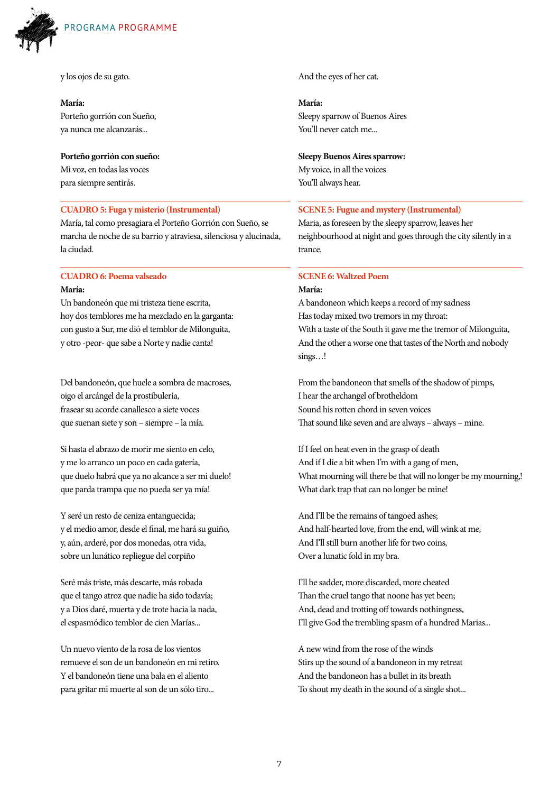

y los ojos de su gato.

#### **María:**

Porteño gorrión con Sueño, ya nunca me alcanzarás...

#### **Porteño gorrión con sueño:**

Mi voz, en todas las voces para siempre sentirás.

### **CUADRO 5: Fuga y misterio (Instrumental)**

María, tal como presagiara el Porteño Gorrión con Sueño, se marcha de noche de su barrio y atraviesa, silenciosa y alucinada, la ciudad.

#### **CUADRO 6: Poema valseado**

#### **María:**

Un bandoneón que mi tristeza tiene escrita, hoy dos temblores me ha mezclado en la garganta: con gusto a Sur, me dió el temblor de Milonguita, y otro -peor- que sabe a Norte y nadie canta!

Del bandoneón, que huele a sombra de macroses, oigo el arcángel de la prostibulería, frasear su acorde canallesco a siete voces que suenan siete y son – siempre – la mía.

Si hasta el abrazo de morir me siento en celo, y me lo arranco un poco en cada gatería, que duelo habrá que ya no alcance a ser mi duelo! que parda trampa que no pueda ser ya mía!

Y seré un resto de ceniza entanguecida; y el medio amor, desde el final, me hará su guiño, y, aún, arderé, por dos monedas, otra vida, sobre un lunático repliegue del corpiño

Seré más triste, más descarte, más robada que el tango atroz que nadie ha sido todavía; y a Dios daré, muerta y de trote hacia la nada, el espasmódico temblor de cien Marías...

Un nuevo viento de la rosa de los vientos remueve el son de un bandoneón en mi retiro. Y el bandoneón tiene una bala en el aliento para gritar mi muerte al son de un sólo tiro...

And the eyes of her cat.

**María:** Sleepy sparrow of Buenos Aires You'll never catch me...

#### **Sleepy Buenos Aires sparrow:**

My voice, in all the voices You'll always hear.

#### **SCENE 5: Fugue and mystery (Instrumental)**

Maria, as foreseen by the sleepy sparrow, leaves her neighbourhood at night and goes through the city silently in a trance.

#### **SCENE 6: Waltzed Poem**

#### **María:**

A bandoneon which keeps a record of my sadness Has today mixed two tremors in my throat: With a taste of the South it gave me the tremor of Milonguita, And the other a worse one that tastes of the North and nobody sings…!

From the bandoneon that smells of the shadow of pimps, I hear the archangel of brotheldom Sound his rotten chord in seven voices That sound like seven and are always – always – mine.

If I feel on heat even in the grasp of death And if I die a bit when I'm with a gang of men, What mourning will there be that will no longer be my mourning,! What dark trap that can no longer be mine!

And I'll be the remains of tangoed ashes; And half-hearted love, from the end, will wink at me, And I'll still burn another life for two coins, Over a lunatic fold in my bra.

I'll be sadder, more discarded, more cheated Than the cruel tango that noone has yet been; And, dead and trotting off towards nothingness, I'll give God the trembling spasm of a hundred Marias...

A new wind from the rose of the winds Stirs up the sound of a bandoneon in my retreat And the bandoneon has a bullet in its breath To shout my death in the sound of a single shot...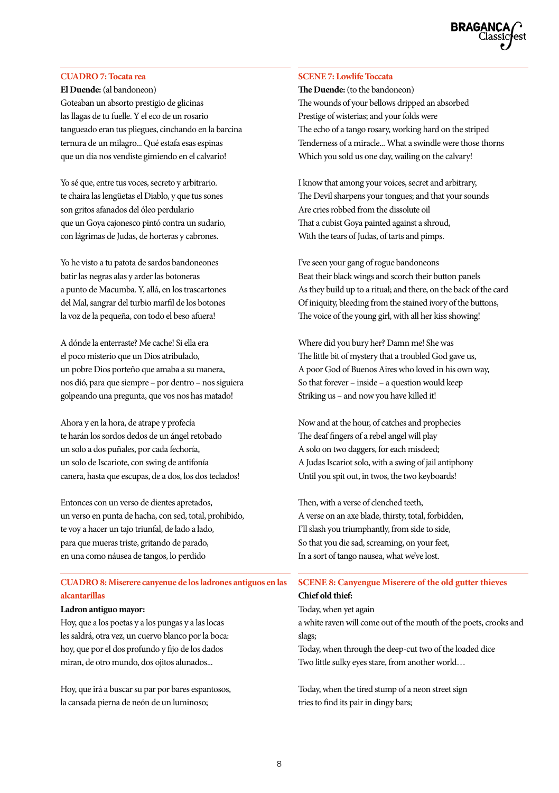### **CUADRO 7: Tocata rea**

**El Duende:** (al bandoneon) Goteaban un absorto prestigio de glicinas las llagas de tu fuelle. Y el eco de un rosario tangueado eran tus pliegues, cinchando en la barcina ternura de un milagro... Qué estafa esas espinas que un día nos vendiste gimiendo en el calvario!

Yo sé que, entre tus voces, secreto y arbitrario. te chaira las lengüetas el Diablo, y que tus sones son gritos afanados del óleo perdulario que un Goya cajonesco pintó contra un sudario, con lágrimas de Judas, de horteras y cabrones.

Yo he visto a tu patota de sardos bandoneones batir las negras alas y arder las botoneras a punto de Macumba. Y, allá, en los trascartones del Mal, sangrar del turbio marfil de los botones la voz de la pequeña, con todo el beso afuera!

A dónde la enterraste? Me cache! Si ella era el poco misterio que un Dios atribulado, un pobre Dios porteño que amaba a su manera, nos dió, para que siempre – por dentro – nos siguiera golpeando una pregunta, que vos nos has matado!

Ahora y en la hora, de atrape y profecía te harán los sordos dedos de un ángel retobado un solo a dos puñales, por cada fechoría, un solo de Iscariote, con swing de antifonía canera, hasta que escupas, de a dos, los dos teclados!

Entonces con un verso de dientes apretados, un verso en punta de hacha, con sed, total, prohibido, te voy a hacer un tajo triunfal, de lado a lado, para que mueras triste, gritando de parado, en una como náusea de tangos, lo perdido

### **CUADRO 8: Miserere canyenue de los ladrones antiguos en las alcantarillas**

#### **Ladron antiguo mayor:**

Hoy, que a los poetas y a los pungas y a las locas les saldrá, otra vez, un cuervo blanco por la boca: hoy, que por el dos profundo y fijo de los dados miran, de otro mundo, dos ojitos alunados...

Hoy, que irá a buscar su par por bares espantosos, la cansada pierna de neón de un luminoso;

### **SCENE 7: Lowlife Toccata**

**The Duende:** (to the bandoneon) The wounds of your bellows dripped an absorbed Prestige of wisterias; and your folds were The echo of a tango rosary, working hard on the striped Tenderness of a miracle... What a swindle were those thorns Which you sold us one day, wailing on the calvary!

I know that among your voices, secret and arbitrary, The Devil sharpens your tongues; and that your sounds Are cries robbed from the dissolute oil That a cubist Goya painted against a shroud, With the tears of Judas, of tarts and pimps.

I've seen your gang of rogue bandoneons Beat their black wings and scorch their button panels As they build up to a ritual; and there, on the back of the card Of iniquity, bleeding from the stained ivory of the buttons, The voice of the young girl, with all her kiss showing!

Where did you bury her? Damn me! She was The little bit of mystery that a troubled God gave us, A poor God of Buenos Aires who loved in his own way, So that forever – inside – a question would keep Striking us – and now you have killed it!

Now and at the hour, of catches and prophecies The deaf fingers of a rebel angel will play A solo on two daggers, for each misdeed; A Judas Iscariot solo, with a swing of jail antiphony Until you spit out, in twos, the two keyboards!

Then, with a verse of clenched teeth, A verse on an axe blade, thirsty, total, forbidden, I'll slash you triumphantly, from side to side, So that you die sad, screaming, on your feet, In a sort of tango nausea, what we've lost.

### **SCENE 8: Canyengue Miserere of the old gutter thieves**

### **Chief old thief:**

Today, when yet again a white raven will come out of the mouth of the poets, crooks and slags;

Today, when through the deep-cut two of the loaded dice Two little sulky eyes stare, from another world…

Today, when the tired stump of a neon street sign tries to find its pair in dingy bars;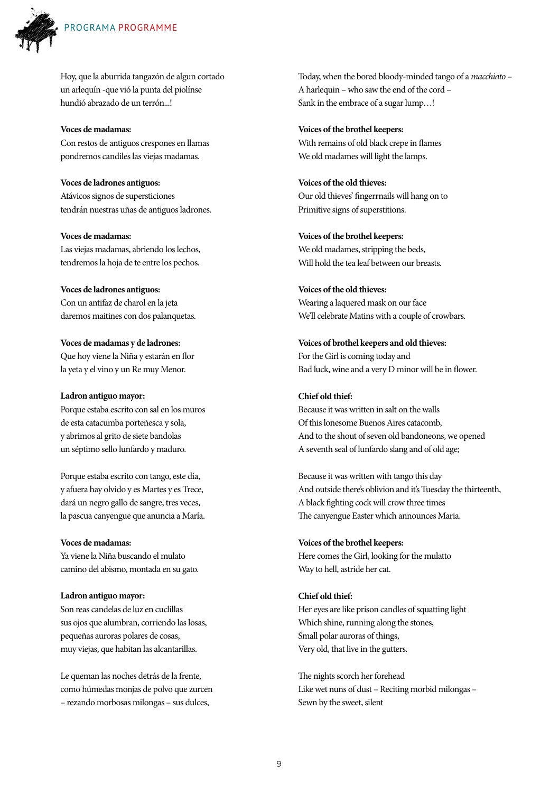

Hoy, que la aburrida tangazón de algun cortado un arlequín -que vió la punta del piolínse hundió abrazado de un terrón...!

**Voces de madamas:** Con restos de antiguos crespones en llamas pondremos candiles las viejas madamas.

**Voces de ladrones antiguos:** Atávicos signos de supersticiones tendrán nuestras uñas de antiguos ladrones.

**Voces de madamas:** Las viejas madamas, abriendo los lechos, tendremos la hoja de te entre los pechos.

**Voces de ladrones antiguos:** Con un antifaz de charol en la jeta daremos maitines con dos palanquetas.

**Voces de madamas y de ladrones:** Que hoy viene la Niña y estarán en flor la yeta y el vino y un Re muy Menor.

#### **Ladron antiguo mayor:**

Porque estaba escrito con sal en los muros de esta catacumba porteñesca y sola, y abrimos al grito de siete bandolas un séptimo sello lunfardo y maduro.

Porque estaba escrito con tango, este día, y afuera hay olvido y es Martes y es Trece, dará un negro gallo de sangre, tres veces, la pascua canyengue que anuncia a María.

#### **Voces de madamas:**

Ya viene la Niña buscando el mulato camino del abismo, montada en su gato.

**Ladron antiguo mayor:** Son reas candelas de luz en cuclillas sus ojos que alumbran, corriendo las losas, pequeñas auroras polares de cosas, muy viejas, que habitan las alcantarillas.

Le queman las noches detrás de la frente, como húmedas monjas de polvo que zurcen – rezando morbosas milongas – sus dulces,

Today, when the bored bloody-minded tango of a *macchiato* – A harlequin – who saw the end of the cord – Sank in the embrace of a sugar lump…!

**Voices of the brothel keepers:** With remains of old black crepe in flames We old madames will light the lamps.

**Voices of the old thieves:** Our old thieves' fingerrnails will hang on to Primitive signs of superstitions.

**Voices of the brothel keepers:** We old madames, stripping the beds, Will hold the tea leaf between our breasts.

**Voices of the old thieves:** Wearing a laquered mask on our face We'll celebrate Matins with a couple of crowbars.

**Voices of brothel keepers and old thieves:** For the Girl is coming today and Bad luck, wine and a very D minor will be in flower.

### **Chief old thief:**

Because it was written in salt on the walls Of this lonesome Buenos Aires catacomb, And to the shout of seven old bandoneons, we opened A seventh seal of lunfardo slang and of old age;

Because it was written with tango this day And outside there's oblivion and it's Tuesday the thirteenth, A black fighting cock will crow three times The canyengue Easter which announces Maria.

#### **Voices of the brothel keepers:**

Here comes the Girl, looking for the mulatto Way to hell, astride her cat.

**Chief old thief:**

Her eyes are like prison candles of squatting light Which shine, running along the stones, Small polar auroras of things, Very old, that live in the gutters.

The nights scorch her forehead Like wet nuns of dust – Reciting morbid milongas – Sewn by the sweet, silent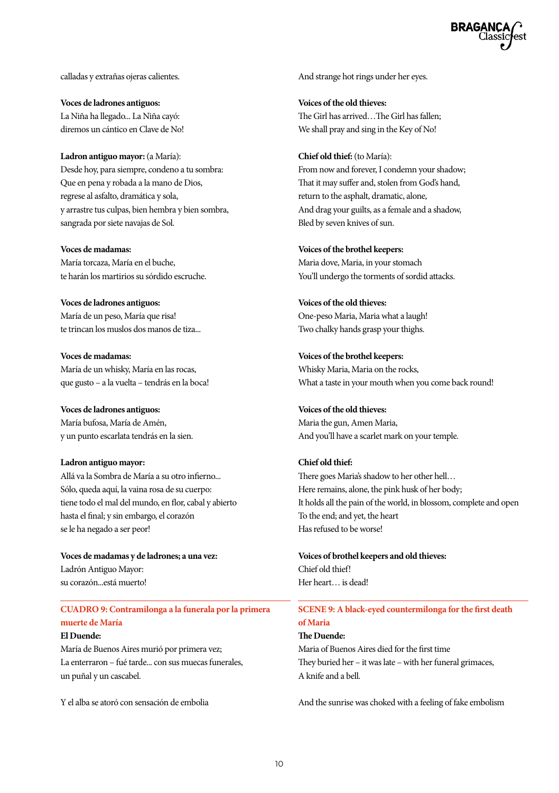calladas y extrañas ojeras calientes.

**Voces de ladrones antiguos:** La Niña ha llegado... La Niña cayó: diremos un cántico en Clave de No!

**Ladron antiguo mayor:** (a María): Desde hoy, para siempre, condeno a tu sombra: Que en pena y robada a la mano de Dios, regrese al asfalto, dramática y sola, y arrastre tus culpas, bien hembra y bien sombra, sangrada por siete navajas de Sol.

**Voces de madamas:** María torcaza, María en el buche, te harán los martirios su sórdido escruche.

**Voces de ladrones antiguos:** María de un peso, María que risa! te trincan los muslos dos manos de tiza...

**Voces de madamas:** María de un whisky, María en las rocas, que gusto – a la vuelta – tendrás en la boca!

**Voces de ladrones antiguos:** María bufosa, María de Amén, y un punto escarlata tendrás en la sien.

### **Ladron antiguo mayor:** Allá va la Sombra de María a su otro infierno... Sólo, queda aquí, la vaina rosa de su cuerpo: tiene todo el mal del mundo, en flor, cabal y abierto

hasta el final; y sin embargo, el corazón se le ha negado a ser peor! **Voces de madamas y de ladrones; a una vez:**

Ladrón Antiguo Mayor: su corazón...está muerto!

### **CUADRO 9: Contramilonga a la funerala por la primera muerte de María**

#### **El Duende:**

María de Buenos Aires murió por primera vez; La enterraron – fué tarde... con sus muecas funerales, un puñal y un cascabel.

Y el alba se atoró con sensación de embolia

And strange hot rings under her eyes.

**Voices of the old thieves:** The Girl has arrived…The Girl has fallen; We shall pray and sing in the Key of No!

**Chief old thief:** (to María): From now and forever, I condemn your shadow; That it may suffer and, stolen from God's hand, return to the asphalt, dramatic, alone, And drag your guilts, as a female and a shadow, Bled by seven knives of sun.

**Voices of the brothel keepers:** Maria dove, Maria, in your stomach You'll undergo the torments of sordid attacks.

**Voices of the old thieves:** One-peso Maria, Maria what a laugh! Two chalky hands grasp your thighs.

**Voices of the brothel keepers:**

Whisky Maria, Maria on the rocks, What a taste in your mouth when you come back round!

**Voices of the old thieves:** Maria the gun, Amen Maria, And you'll have a scarlet mark on your temple.

### **Chief old thief:**

There goes Maria's shadow to her other hell… Here remains, alone, the pink husk of her body; It holds all the pain of the world, in blossom, complete and open To the end; and yet, the heart Has refused to be worse!

**Voices of brothel keepers and old thieves:** Chief old thief! Her heart… is dead!

### **SCENE 9: A black-eyed countermilonga for the first death of Maria**

### **The Duende:**

Maria of Buenos Aires died for the first time They buried her – it was late – with her funeral grimaces, A knife and a bell.

And the sunrise was choked with a feeling of fake embolism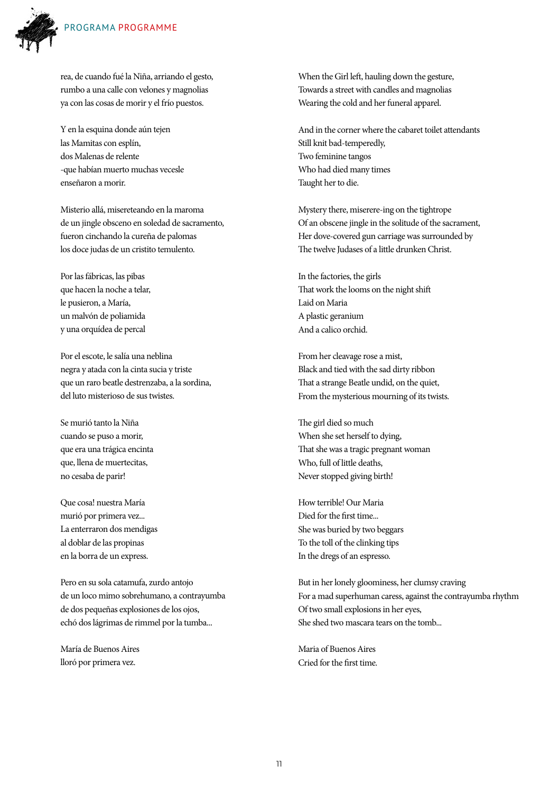

rea, de cuando fué la Niña, arriando el gesto, rumbo a una calle con velones y magnolias ya con las cosas de morir y el frío puestos.

Y en la esquina donde aún tejen las Mamitas con esplín, dos Malenas de relente -que habían muerto muchas vecesle enseñaron a morir.

Misterio allá, misereteando en la maroma de un jingle obsceno en soledad de sacramento, fueron cinchando la cureña de palomas los doce judas de un cristito temulento.

Por las fábricas, las pibas que hacen la noche a telar, le pusieron, a María, un malvón de poliamida y una orquídea de percal

Por el escote, le salía una neblina negra y atada con la cinta sucia y triste que un raro beatle destrenzaba, a la sordina, del luto misterioso de sus twistes.

Se murió tanto la Niña cuando se puso a morir, que era una trágica encinta que, llena de muertecitas, no cesaba de parir!

Que cosa! nuestra María murió por primera vez... La enterraron dos mendigas al doblar de las propinas en la borra de un express.

Pero en su sola catamufa, zurdo antojo de un loco mimo sobrehumano, a contrayumba de dos pequeñas explosiones de los ojos, echó dos lágrimas de rimmel por la tumba...

María de Buenos Aires lloró por primera vez.

When the Girl left, hauling down the gesture, Towards a street with candles and magnolias Wearing the cold and her funeral apparel.

And in the corner where the cabaret toilet attendants Still knit bad-temperedly, Two feminine tangos Who had died many times Taught her to die.

Mystery there, miserere-ing on the tightrope Of an obscene jingle in the solitude of the sacrament, Her dove-covered gun carriage was surrounded by The twelve Judases of a little drunken Christ.

In the factories, the girls That work the looms on the night shift Laid on Maria A plastic geranium And a calico orchid.

From her cleavage rose a mist, Black and tied with the sad dirty ribbon That a strange Beatle undid, on the quiet, From the mysterious mourning of its twists.

The girl died so much When she set herself to dying, That she was a tragic pregnant woman Who, full of little deaths, Never stopped giving birth!

How terrible! Our Maria Died for the first time... She was buried by two beggars To the toll of the clinking tips In the dregs of an espresso.

But in her lonely gloominess, her clumsy craving For a mad superhuman caress, against the contrayumba rhythm Of two small explosions in her eyes, She shed two mascara tears on the tomb...

Maria of Buenos Aires Cried for the first time.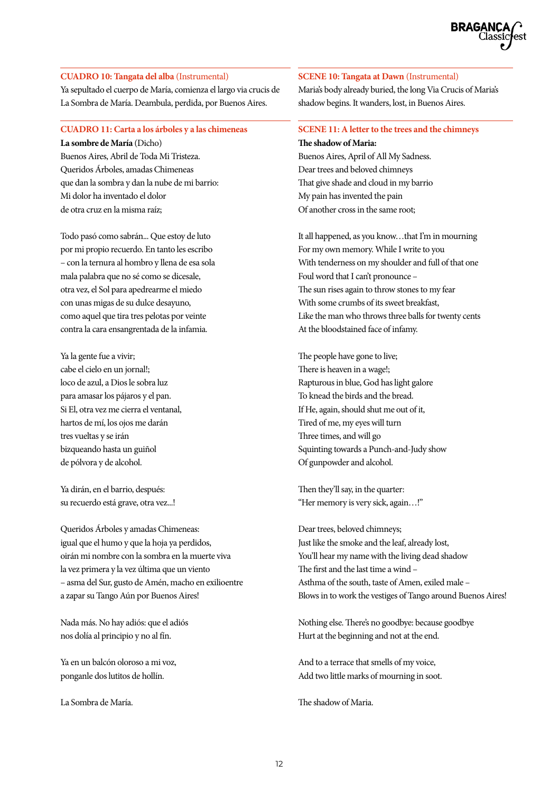### **CUADRO 10: Tangata del alba** (Instrumental)

Ya sepultado el cuerpo de María, comienza el largo via crucis de La Sombra de María. Deambula, perdida, por Buenos Aires.

#### **CUADRO 11: Carta a los árboles y a las chimeneas**

**La sombre de María** (Dicho) Buenos Aires, Abril de Toda Mi Tristeza. Queridos Árboles, amadas Chimeneas que dan la sombra y dan la nube de mi barrio: Mi dolor ha inventado el dolor de otra cruz en la misma raíz;

Todo pasó como sabrán... Que estoy de luto por mi propio recuerdo. En tanto les escribo – con la ternura al hombro y llena de esa sola mala palabra que no sé como se dicesale, otra vez, el Sol para apedrearme el miedo con unas migas de su dulce desayuno, como aquel que tira tres pelotas por veinte contra la cara ensangrentada de la infamia.

Ya la gente fue a vivir; cabe el cielo en un jornal!; loco de azul, a Dios le sobra luz para amasar los pájaros y el pan. Si El, otra vez me cierra el ventanal, hartos de mí, los ojos me darán tres vueltas y se irán bizqueando hasta un guiñol de pólvora y de alcohol.

Ya dirán, en el barrio, después: su recuerdo está grave, otra vez...!

Queridos Árboles y amadas Chimeneas: igual que el humo y que la hoja ya perdidos, oirán mi nombre con la sombra en la muerte viva la vez primera y la vez última que un viento – asma del Sur, gusto de Amén, macho en exilioentre a zapar su Tango Aún por Buenos Aires!

Nada más. No hay adiós: que el adiós nos dolía al principio y no al fín.

Ya en un balcón oloroso a mi voz, ponganle dos lutitos de hollín.

La Sombra de María.

### **SCENE 10: Tangata at Dawn** (Instrumental)

Maria's body already buried, the long Via Crucis of Maria's shadow begins. It wanders, lost, in Buenos Aires.

#### **SCENE 11: A letter to the trees and the chimneys The shadow of Maria:**

Buenos Aires, April of All My Sadness. Dear trees and beloved chimneys That give shade and cloud in my barrio My pain has invented the pain Of another cross in the same root;

It all happened, as you know…that I'm in mourning For my own memory. While I write to you With tenderness on my shoulder and full of that one Foul word that I can't pronounce – The sun rises again to throw stones to my fear With some crumbs of its sweet breakfast, Like the man who throws three balls for twenty cents At the bloodstained face of infamy.

The people have gone to live; There is heaven in a wage!; Rapturous in blue, God has light galore To knead the birds and the bread. If He, again, should shut me out of it, Tired of me, my eyes will turn Three times, and will go Squinting towards a Punch-and-Judy show Of gunpowder and alcohol.

Then they'll say, in the quarter: "Her memory is very sick, again…!"

Dear trees, beloved chimneys; Just like the smoke and the leaf, already lost, You'll hear my name with the living dead shadow The first and the last time a wind – Asthma of the south, taste of Amen, exiled male – Blows in to work the vestiges of Tango around Buenos Aires!

Nothing else. There's no goodbye: because goodbye Hurt at the beginning and not at the end.

And to a terrace that smells of my voice, Add two little marks of mourning in soot.

The shadow of Maria.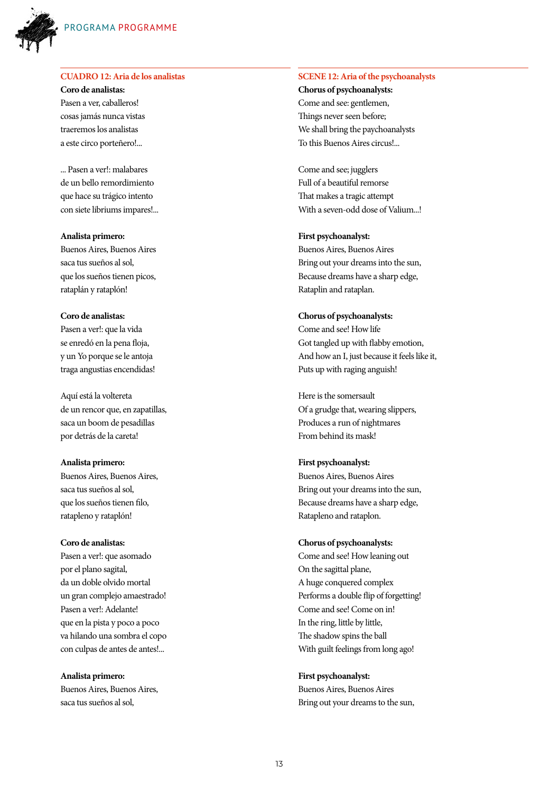

### **CUADRO 12: Aria de los analistas**

**Coro de analistas:** Pasen a ver, caballeros! cosas jamás nunca vistas traeremos los analistas a este circo porteñero!...

... Pasen a ver!: malabares de un bello remordimiento que hace su trágico intento con siete libriums impares!...

**Analista primero:** Buenos Aires, Buenos Aires saca tus sueños al sol, que los sueños tienen picos, rataplán y rataplón!

#### **Coro de analistas:**

Pasen a ver!: que la vida se enredó en la pena floja, y un Yo porque se le antoja traga angustias encendidas!

Aquí está la voltereta de un rencor que, en zapatillas, saca un boom de pesadillas por detrás de la careta!

#### **Analista primero:**

Buenos Aires, Buenos Aires, saca tus sueños al sol, que los sueños tienen filo, ratapleno y rataplón!

#### **Coro de analistas:**

Pasen a ver!: que asomado por el plano sagital, da un doble olvido mortal un gran complejo amaestrado! Pasen a ver!: Adelante! que en la pista y poco a poco va hilando una sombra el copo con culpas de antes de antes!...

**Analista primero:** Buenos Aires, Buenos Aires, saca tus sueños al sol,

#### **SCENE 12: Aria of the psychoanalysts**

**Chorus of psychoanalysts:** Come and see: gentlemen, Things never seen before; We shall bring the paychoanalysts To this Buenos Aires circus!...

Come and see; jugglers Full of a beautiful remorse That makes a tragic attempt With a seven-odd dose of Valium...!

#### **First psychoanalyst:**

Buenos Aires, Buenos Aires Bring out your dreams into the sun, Because dreams have a sharp edge, Rataplin and rataplan.

#### **Chorus of psychoanalysts:**

Come and see! How life Got tangled up with flabby emotion, And how an I, just because it feels like it, Puts up with raging anguish!

Here is the somersault Of a grudge that, wearing slippers, Produces a run of nightmares From behind its mask!

#### **First psychoanalyst:**

Buenos Aires, Buenos Aires Bring out your dreams into the sun, Because dreams have a sharp edge, Ratapleno and rataplon.

#### **Chorus of psychoanalysts:**

Come and see! How leaning out On the sagittal plane, A huge conquered complex Performs a double flip of forgetting! Come and see! Come on in! In the ring, little by little, The shadow spins the ball With guilt feelings from long ago!

#### **First psychoanalyst:**

Buenos Aires, Buenos Aires Bring out your dreams to the sun,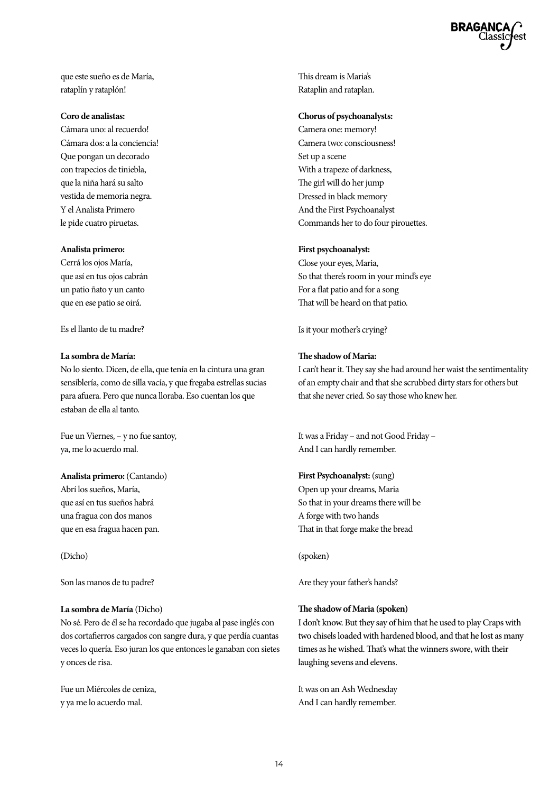que este sueño es de María, rataplín y rataplón!

#### **Coro de analistas:**

Cámara uno: al recuerdo! Cámara dos: a la conciencia! Que pongan un decorado con trapecios de tiniebla, que la niña hará su salto vestida de memoria negra. Y el Analista Primero le pide cuatro piruetas.

#### **Analista primero:**

Cerrá los ojos María, que así en tus ojos cabrán un patio ñato y un canto que en ese patio se oirá.

Es el llanto de tu madre?

#### **La sombra de María:**

No lo siento. Dicen, de ella, que tenía en la cintura una gran sensiblería, como de silla vacía, y que fregaba estrellas sucias para afuera. Pero que nunca lloraba. Eso cuentan los que estaban de ella al tanto.

Fue un Viernes, – y no fue santoy, ya, me lo acuerdo mal.

### **Analista primero:** (Cantando)

Abrí los sueños, María, que así en tus sueños habrá una fragua con dos manos que en esa fragua hacen pan.

(Dicho)

Son las manos de tu padre?

#### **La sombra de María** (Dicho)

No sé. Pero de él se ha recordado que jugaba al pase inglés con dos cortafierros cargados con sangre dura, y que perdía cuantas veces lo quería. Eso juran los que entonces le ganaban con sietes y onces de risa.

Fue un Miércoles de ceniza, y ya me lo acuerdo mal.

This dream is Maria's Rataplin and rataplan.

### **Chorus of psychoanalysts:**

Camera one: memory! Camera two: consciousness! Set up a scene With a trapeze of darkness, The girl will do her jump Dressed in black memory And the First Psychoanalyst Commands her to do four pirouettes.

#### **First psychoanalyst:**

Close your eyes, Maria, So that there's room in your mind's eye For a flat patio and for a song That will be heard on that patio.

Is it your mother's crying?

#### **The shadow of Maria:**

I can't hear it. They say she had around her waist the sentimentality of an empty chair and that she scrubbed dirty stars for others but that she never cried. So say those who knew her.

It was a Friday – and not Good Friday – And I can hardly remember.

#### **First Psychoanalyst:** (sung)

Open up your dreams, Maria So that in your dreams there will be A forge with two hands That in that forge make the bread

(spoken)

Are they your father's hands?

#### **The shadow of Maria (spoken)**

I don't know. But they say of him that he used to play Craps with two chisels loaded with hardened blood, and that he lost as many times as he wished. That's what the winners swore, with their laughing sevens and elevens.

It was on an Ash Wednesday And I can hardly remember.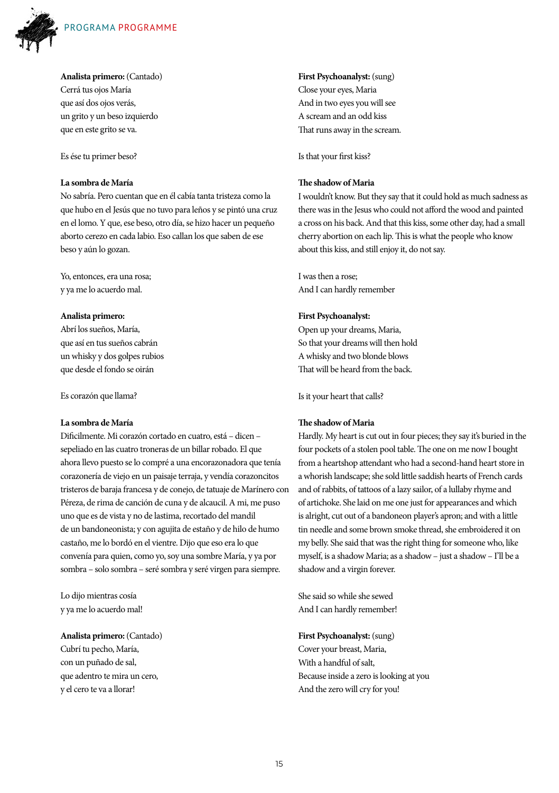

**Analista primero:** (Cantado)

Cerrá tus ojos María que así dos ojos verás, un grito y un beso izquierdo que en este grito se va.

Es ése tu primer beso?

### **La sombra de María**

No sabría. Pero cuentan que en él cabía tanta tristeza como la que hubo en el Jesús que no tuvo para leños y se pintó una cruz en el lomo. Y que, ese beso, otro día, se hizo hacer un pequeño aborto cerezo en cada labio. Eso callan los que saben de ese beso y aún lo gozan.

Yo, entonces, era una rosa; y ya me lo acuerdo mal.

#### **Analista primero:**

Abrí los sueños, María, que así en tus sueños cabrán un whisky y dos golpes rubios que desde el fondo se oirán

Es corazón que llama?

#### **La sombra de María**

Dificilmente. Mi corazón cortado en cuatro, está – dicen – sepeliado en las cuatro troneras de un billar robado. El que ahora llevo puesto se lo compré a una encorazonadora que tenía corazonería de viejo en un paisaje terraja, y vendía corazoncitos tristeros de baraja francesa y de conejo, de tatuaje de Marínero con Péreza, de rima de canción de cuna y de alcaucil. A mi, me puso uno que es de vista y no de lastima, recortado del mandil de un bandoneonista; y con agujita de estaño y de hilo de humo castaño, me lo bordó en el vientre. Dijo que eso era lo que convenía para quien, como yo, soy una sombre María, y ya por sombra – solo sombra – seré sombra y seré virgen para siempre.

Lo dijo mientras cosía y ya me lo acuerdo mal!

**Analista primero:** (Cantado) Cubrí tu pecho, María, con un puñado de sal, que adentro te mira un cero, y el cero te va a llorar!

**First Psychoanalyst:** (sung) Close your eyes, Maria And in two eyes you will see A scream and an odd kiss That runs away in the scream.

Is that your first kiss?

### **The shadow of Maria**

I wouldn't know. But they say that it could hold as much sadness as there was in the Jesus who could not afford the wood and painted a cross on his back. And that this kiss, some other day, had a small cherry abortion on each lip. This is what the people who know about this kiss, and still enjoy it, do not say.

I was then a rose; And I can hardly remember

#### **First Psychoanalyst:**

Open up your dreams, Maria, So that your dreams will then hold A whisky and two blonde blows That will be heard from the back.

Is it your heart that calls?

### **The shadow of Maria**

Hardly. My heart is cut out in four pieces; they say it's buried in the four pockets of a stolen pool table. The one on me now I bought from a heartshop attendant who had a second-hand heart store in a whorish landscape; she sold little saddish hearts of French cards and of rabbits, of tattoos of a lazy sailor, of a lullaby rhyme and of artichoke. She laid on me one just for appearances and which is alright, cut out of a bandoneon player's apron; and with a little tin needle and some brown smoke thread, she embroidered it on my belly. She said that was the right thing for someone who, like myself, is a shadow Maria; as a shadow – just a shadow – I'll be a shadow and a virgin forever.

She said so while she sewed And I can hardly remember!

**First Psychoanalyst:** (sung) Cover your breast, Maria, With a handful of salt, Because inside a zero is looking at you And the zero will cry for you!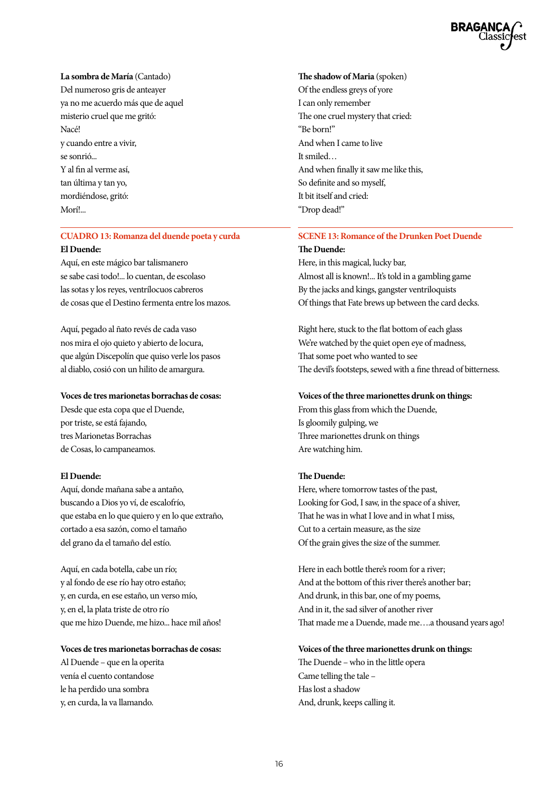**La sombra de María** (Cantado) Del numeroso gris de anteayer ya no me acuerdo más que de aquel misterio cruel que me gritó: Nacé! y cuando entre a vivir, se sonrió... Y al fin al verme así, tan última y tan yo, mordiéndose, gritó: Morí!...

### **CUADRO 13: Romanza del duende poeta y curda**

#### **El Duende:**

Aquí, en este mágico bar talismanero se sabe casi todo!... lo cuentan, de escolaso las sotas y los reyes, ventrílocuos cabreros de cosas que el Destino fermenta entre los mazos.

Aquí, pegado al ñato revés de cada vaso nos mira el ojo quieto y abierto de locura, que algún Discepolín que quiso verle los pasos al diablo, cosió con un hilito de amargura.

#### **Voces de tres marionetas borrachas de cosas:**

Desde que esta copa que el Duende, por triste, se está fajando, tres Marionetas Borrachas de Cosas, lo campaneamos.

#### **El Duende:**

Aquí, donde mañana sabe a antaño, buscando a Dios yo ví, de escalofrío, que estaba en lo que quiero y en lo que extraño, cortado a esa sazón, como el tamaño del grano da el tamaño del estío.

Aquí, en cada botella, cabe un río; y al fondo de ese río hay otro estaño; y, en curda, en ese estaño, un verso mío, y, en el, la plata triste de otro río que me hizo Duende, me hizo... hace mil años!

#### **Voces de tres marionetas borrachas de cosas:**

Al Duende – que en la operita venía el cuento contandose le ha perdido una sombra y, en curda, la va llamando.

#### **The shadow of Maria** (spoken)

Of the endless greys of yore I can only remember The one cruel mystery that cried: "Be born!" And when I came to live It smiled… And when finally it saw me like this, So definite and so myself, It bit itself and cried: "Drop dead!"

### **SCENE 13: Romance of the Drunken Poet Duende**

#### **The Duende:**

Here, in this magical, lucky bar, Almost all is known!... It's told in a gambling game By the jacks and kings, gangster ventriloquists Of things that Fate brews up between the card decks.

Right here, stuck to the flat bottom of each glass We're watched by the quiet open eye of madness, That some poet who wanted to see The devil's footsteps, sewed with a fine thread of bitterness.

#### **Voices of the three marionettes drunk on things:**

From this glass from which the Duende, Is gloomily gulping, we Three marionettes drunk on things Are watching him.

#### **The Duende:**

Here, where tomorrow tastes of the past, Looking for God, I saw, in the space of a shiver, That he was in what I love and in what I miss, Cut to a certain measure, as the size Of the grain gives the size of the summer.

Here in each bottle there's room for a river; And at the bottom of this river there's another bar; And drunk, in this bar, one of my poems, And in it, the sad silver of another river That made me a Duende, made me….a thousand years ago!

### **Voices of the three marionettes drunk on things:**

The Duende – who in the little opera Came telling the tale – Has lost a shadow And, drunk, keeps calling it.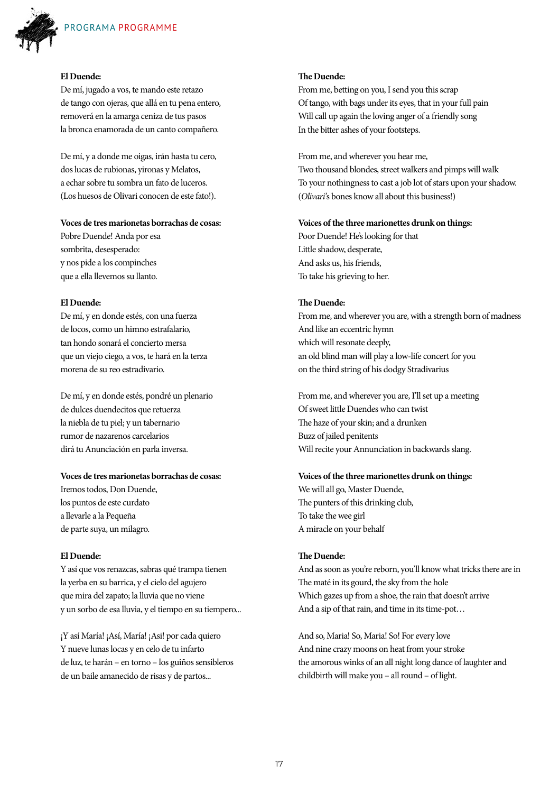

### **El Duende:**

De mí, jugado a vos, te mando este retazo de tango con ojeras, que allá en tu pena entero, removerá en la amarga ceniza de tus pasos la bronca enamorada de un canto compañero.

De mí, y a donde me oigas, irán hasta tu cero, dos lucas de rubionas, yironas y Melatos, a echar sobre tu sombra un fato de luceros. (Los huesos de Olivari conocen de este fato!).

#### **Voces de tres marionetas borrachas de cosas:**

Pobre Duende! Anda por esa sombrita, desesperado: y nos pide a los compinches que a ella llevemos su llanto.

#### **El Duende:**

De mí, y en donde estés, con una fuerza de locos, como un himno estrafalario, tan hondo sonará el concierto mersa que un viejo ciego, a vos, te hará en la terza morena de su reo estradivario.

De mí, y en donde estés, pondré un plenario de dulces duendecitos que retuerza la niebla de tu piel; y un tabernario rumor de nazarenos carcelarios dirá tu Anunciación en parla inversa.

#### **Voces de tres marionetas borrachas de cosas:**

Iremos todos, Don Duende, los puntos de este curdato a llevarle a la Pequeña de parte suya, un milagro.

### **El Duende:**

Y así que vos renazcas, sabras qué trampa tienen la yerba en su barrica, y el cielo del agujero que mira del zapato; la lluvia que no viene y un sorbo de esa lluvia, y el tiempo en su tiempero...

¡Y así María! ¡Así, María! ¡Asi! por cada quiero Y nueve lunas locas y en celo de tu infarto de luz, te harán – en torno – los guiños sensibleros de un baile amanecido de risas y de partos...

#### **The Duende:**

From me, betting on you, I send you this scrap Of tango, with bags under its eyes, that in your full pain Will call up again the loving anger of a friendly song In the bitter ashes of your footsteps.

From me, and wherever you hear me, Two thousand blondes, street walkers and pimps will walk To your nothingness to cast a job lot of stars upon your shadow. (*Olivari'*s bones know all about this business!)

### **Voices of the three marionettes drunk on things:**

Poor Duende! He's looking for that Little shadow, desperate, And asks us, his friends, To take his grieving to her.

### **The Duende:**

From me, and wherever you are, with a strength born of madness And like an eccentric hymn which will resonate deeply, an old blind man will play a low-life concert for you on the third string of his dodgy Stradivarius

From me, and wherever you are, I'll set up a meeting Of sweet little Duendes who can twist The haze of your skin; and a drunken Buzz of jailed penitents Will recite your Annunciation in backwards slang.

#### **Voices of the three marionettes drunk on things:**

We will all go, Master Duende, The punters of this drinking club, To take the wee girl A miracle on your behalf

#### **The Duende:**

And as soon as you're reborn, you'll know what tricks there are in The maté in its gourd, the sky from the hole Which gazes up from a shoe, the rain that doesn't arrive And a sip of that rain, and time in its time-pot…

And so, Maria! So, Maria! So! For every love And nine crazy moons on heat from your stroke the amorous winks of an all night long dance of laughter and childbirth will make you – all round – of light.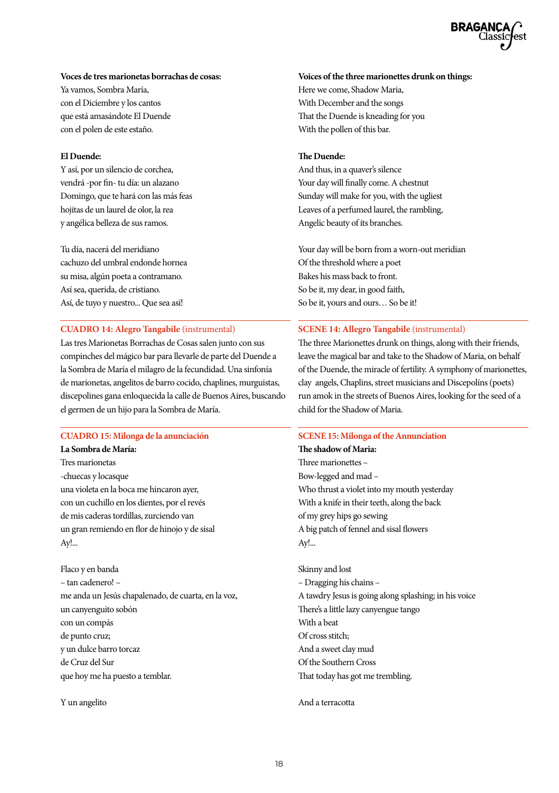### **Voces de tres marionetas borrachas de cosas:**

Ya vamos, Sombra María, con el Diciembre y los cantos que está amasándote El Duende con el polen de este estaño.

### **El Duende:**

Y así, por un silencio de corchea, vendrá -por fin- tu día: un alazano Domingo, que te hará con las más feas hojitas de un laurel de olor, la rea y angélica belleza de sus ramos.

Tu día, nacerá del meridiano cachuzo del umbral endonde hornea su misa, algún poeta a contramano. Así sea, querida, de cristiano. Así, de tuyo y nuestro... Que sea así!

### **CUADRO 14: Alegro Tangabile** (instrumental)

Las tres Marionetas Borrachas de Cosas salen junto con sus compinches del mágico bar para llevarle de parte del Duende a la Sombra de María el milagro de la fecundidad. Una sinfonía de marionetas, angelitos de barro cocido, chaplines, murguistas, discepolines gana enloquecida la calle de Buenos Aires, buscando el germen de un hijo para la Sombra de María.

### **CUADRO 15: Milonga de la anunciación**

**La Sombra de María:** Tres marionetas -chuecas y locasque una violeta en la boca me hincaron ayer, con un cuchillo en los dientes, por el revés de mis caderas tordillas, zurciendo van un gran remiendo en flor de hinojo y de sisal Ay!...

Flaco y en banda – tan cadenero! – me anda un Jesús chapalenado, de cuarta, en la voz, un canyenguito sobón con un compás de punto cruz; y un dulce barro torcaz de Cruz del Sur que hoy me ha puesto a temblar.

Y un angelito

### **Voices of the three marionettes drunk on things:**

Here we come, Shadow Maria, With December and the songs That the Duende is kneading for you With the pollen of this bar.

### **The Duende:**

And thus, in a quaver's silence Your day will finally come. A chestnut Sunday will make for you, with the ugliest Leaves of a perfumed laurel, the rambling, Angelic beauty of its branches.

Your day will be born from a worn-out meridian Of the threshold where a poet Bakes his mass back to front. So be it, my dear, in good faith, So be it, yours and ours… So be it!

### **SCENE 14: Allegro Tangabile** (instrumental)

The three Marionettes drunk on things, along with their friends, leave the magical bar and take to the Shadow of Maria, on behalf of the Duende, the miracle of fertility. A symphony of marionettes, clay angels, Chaplins, street musicians and Discepolíns (poets) run amok in the streets of Buenos Aires, looking for the seed of a child for the Shadow of Maria.

### **SCENE 15: Milonga of the Annunciation**

**The shadow of Maria:** Three marionettes – Bow-legged and mad – Who thrust a violet into my mouth yesterday With a knife in their teeth, along the back of my grey hips go sewing A big patch of fennel and sisal flowers Ay!...

Skinny and lost – Dragging his chains – A tawdry Jesus is going along splashing; in his voice There's a little lazy canyengue tango With a beat Of cross stitch; And a sweet clay mud Of the Southern Cross That today has got me trembling.

### And a terracotta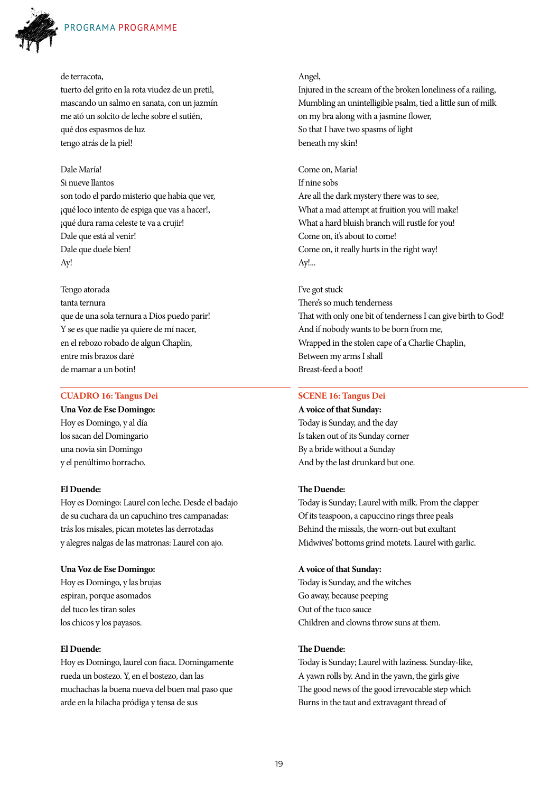

## PROGRAMA PROGRAMME

#### de terracota,

tuerto del grito en la rota viudez de un pretil, mascando un salmo en sanata, con un jazmín me ató un solcito de leche sobre el sutién, qué dos espasmos de luz tengo atrás de la piel!

#### Dale María!

Si nueve llantos son todo el pardo misterio que habia que ver, ¡qué loco intento de espiga que vas a hacer!, ¡qué dura rama celeste te va a crujir! Dale que está al venir! Dale que duele bien! Ay!

Tengo atorada tanta ternura que de una sola ternura a Dios puedo parir! Y se es que nadie ya quiere de mí nacer, en el rebozo robado de algun Chaplin, entre mis brazos daré de mamar a un botín!

### **CUADRO 16: Tangus Dei**

**Una Voz de Ese Domingo:** Hoy es Domingo, y al día los sacan del Domingario una novia sin Domingo y el penúltimo borracho.

#### **El Duende:**

Hoy es Domingo: Laurel con leche. Desde el badajo de su cuchara da un capuchino tres campanadas: trás los misales, pican motetes las derrotadas y alegres nalgas de las matronas: Laurel con ajo.

#### **Una Voz de Ese Domingo:**

Hoy es Domingo, y las brujas espiran, porque asomados del tuco les tiran soles los chicos y los payasos.

#### **El Duende:**

Hoy es Domingo, laurel con fiaca. Domingamente rueda un bostezo. Y, en el bostezo, dan las muchachas la buena nueva del buen mal paso que arde en la hilacha pródiga y tensa de sus

#### Angel,

Injured in the scream of the broken loneliness of a railing, Mumbling an unintelligible psalm, tied a little sun of milk on my bra along with a jasmine flower, So that I have two spasms of light beneath my skin!

Come on, Maria! If nine sobs Are all the dark mystery there was to see, What a mad attempt at fruition you will make! What a hard bluish branch will rustle for you! Come on, it's about to come! Come on, it really hurts in the right way! Ay!...

#### I've got stuck

There's so much tenderness That with only one bit of tenderness I can give birth to God! And if nobody wants to be born from me, Wrapped in the stolen cape of a Charlie Chaplin, Between my arms I shall Breast-feed a boot!

### **SCENE 16: Tangus Dei**

**A voice of that Sunday:** Today is Sunday, and the day Is taken out of its Sunday corner By a bride without a Sunday And by the last drunkard but one.

#### **The Duende:**

Today is Sunday; Laurel with milk. From the clapper Of its teaspoon, a capuccino rings three peals Behind the missals, the worn-out but exultant Midwives' bottoms grind motets. Laurel with garlic.

#### **A voice of that Sunday:**

Today is Sunday, and the witches Go away, because peeping Out of the tuco sauce Children and clowns throw suns at them.

### **The Duende:**

Today is Sunday; Laurel with laziness. Sunday-like, A yawn rolls by. And in the yawn, the girls give The good news of the good irrevocable step which Burns in the taut and extravagant thread of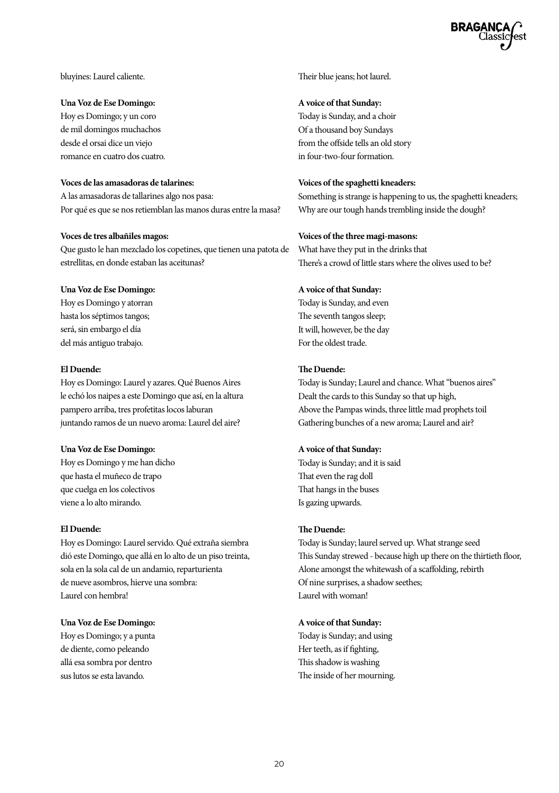bluyines: Laurel caliente.

#### **Una Voz de Ese Domingo:**

Hoy es Domingo; y un coro de mil domingos muchachos desde el orsai dice un viejo romance en cuatro dos cuatro.

#### **Voces de las amasadoras de talarines:**

A las amasadoras de tallarines algo nos pasa: Por qué es que se nos retiemblan las manos duras entre la masa?

### **Voces de tres albañiles magos:**

Que gusto le han mezclado los copetines, que tienen una patota de estrellitas, en donde estaban las aceitunas?

#### **Una Voz de Ese Domingo:**

Hoy es Domingo y atorran hasta los séptimos tangos; será, sin embargo el día del más antiguo trabajo.

#### **El Duende:**

Hoy es Domingo: Laurel y azares. Qué Buenos Aires le echó los naipes a este Domingo que así, en la altura pampero arriba, tres profetitas locos laburan juntando ramos de un nuevo aroma: Laurel del aire?

#### **Una Voz de Ese Domingo:**

Hoy es Domingo y me han dicho que hasta el muñeco de trapo que cuelga en los colectivos viene a lo alto mirando.

#### **El Duende:**

Hoy es Domingo: Laurel servido. Qué extraña siembra dió este Domingo, que allá en lo alto de un piso treinta, sola en la sola cal de un andamio, reparturienta de nueve asombros, hierve una sombra: Laurel con hembra!

#### **Una Voz de Ese Domingo:**

Hoy es Domingo; y a punta de diente, como peleando allá esa sombra por dentro sus lutos se esta lavando.

Their blue jeans; hot laurel.

#### **A voice of that Sunday:**

Today is Sunday, and a choir Of a thousand boy Sundays from the offside tells an old story in four-two-four formation.

### **Voices of the spaghetti kneaders:**

Something is strange is happening to us, the spaghetti kneaders; Why are our tough hands trembling inside the dough?

#### **Voices of the three magi-masons:**

What have they put in the drinks that There's a crowd of little stars where the olives used to be?

#### **A voice of that Sunday:**

Today is Sunday, and even The seventh tangos sleep; It will, however, be the day For the oldest trade.

### **The Duende:**

Today is Sunday; Laurel and chance. What "buenos aires" Dealt the cards to this Sunday so that up high, Above the Pampas winds, three little mad prophets toil Gathering bunches of a new aroma; Laurel and air?

#### **A voice of that Sunday:**

Today is Sunday; and it is said That even the rag doll That hangs in the buses Is gazing upwards.

### **The Duende:**

Today is Sunday; laurel served up. What strange seed This Sunday strewed - because high up there on the thirtieth floor, Alone amongst the whitewash of a scaffolding, rebirth Of nine surprises, a shadow seethes; Laurel with woman!

#### **A voice of that Sunday:**

Today is Sunday; and using Her teeth, as if fighting, This shadow is washing The inside of her mourning.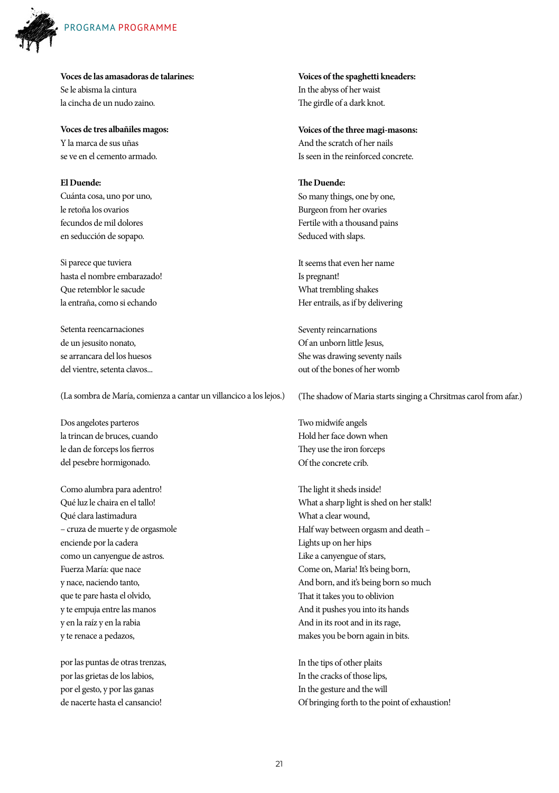

**Voces de las amasadoras de talarines:** Se le abisma la cintura la cincha de un nudo zaino.

**Voces de tres albañiles magos:** Y la marca de sus uñas se ve en el cemento armado.

**El Duende:** Cuánta cosa, uno por uno, le retoña los ovarios fecundos de mil dolores en seducción de sopapo.

Si parece que tuviera hasta el nombre embarazado! Que retemblor le sacude la entraña, como si echando

Setenta reencarnaciones de un jesusito nonato, se arrancara del los huesos del vientre, setenta clavos...

(La sombra de María, comienza a cantar un villancico a los lejos.)

Dos angelotes parteros la trincan de bruces, cuando le dan de forceps los fierros del pesebre hormigonado.

Como alumbra para adentro! Qué luz le chaira en el tallo! Qué clara lastimadura – cruza de muerte y de orgasmole enciende por la cadera como un canyengue de astros. Fuerza María: que nace y nace, naciendo tanto, que te pare hasta el olvido, y te empuja entre las manos y en la raíz y en la rabia y te renace a pedazos,

por las puntas de otras trenzas, por las grietas de los labios, por el gesto, y por las ganas de nacerte hasta el cansancio!

**Voices of the spaghetti kneaders:** In the abyss of her waist The girdle of a dark knot.

**Voices of the three magi-masons:** And the scratch of her nails Is seen in the reinforced concrete.

**The Duende:** So many things, one by one, Burgeon from her ovaries Fertile with a thousand pains Seduced with slaps.

It seems that even her name Is pregnant! What trembling shakes Her entrails, as if by delivering

Seventy reincarnations Of an unborn little Jesus, She was drawing seventy nails out of the bones of her womb

(The shadow of Maria starts singing a Chrsitmas carol from afar.)

Two midwife angels Hold her face down when They use the iron forceps Of the concrete crib.

The light it sheds inside! What a sharp light is shed on her stalk! What a clear wound, Half way between orgasm and death – Lights up on her hips Like a canyengue of stars, Come on, Maria! It's being born, And born, and it's being born so much That it takes you to oblivion And it pushes you into its hands And in its root and in its rage, makes you be born again in bits.

In the tips of other plaits In the cracks of those lips, In the gesture and the will Of bringing forth to the point of exhaustion!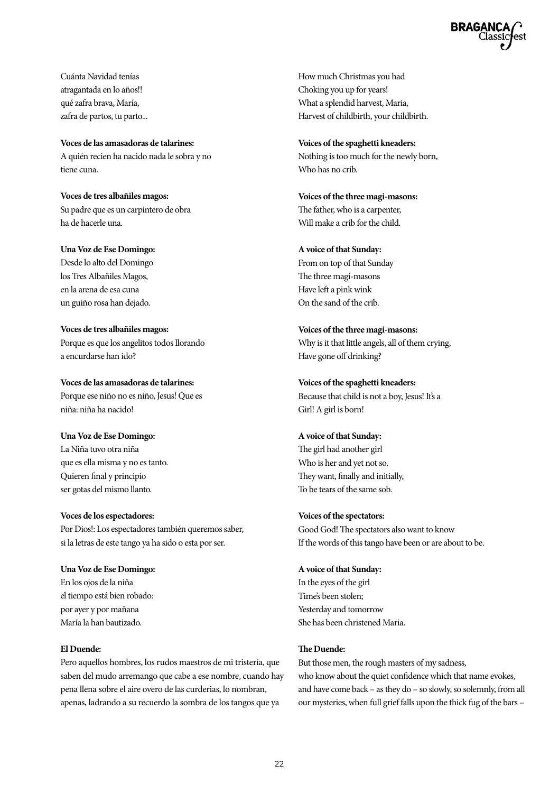

Cuánta Navidad tenías atragantada en lo años!! qué zafra brava, María, zafra de partos, tu parto...

**Voces de las amasadoras de talarines:** A quién recien ha nacido nada le sobra y no tiene cuna.

**Voces de tres albañiles magos:** Su padre que es un carpintero de obra ha de hacerle una.

**Una Voz de Ese Domingo:** Desde lo alto del Domingo los Tres Albañiles Magos, en la arena de esa cuna un guiño rosa han dejado.

**Voces de tres albañiles magos:** Porque es que los angelitos todos llorando a encurdarse han ido?

**Voces de las amasadoras de talarines:** Porque ese niño no es niño, Jesus! Que es niña: niña ha nacido!

**Una Voz de Ese Domingo:** La Niña tuvo otra niña que es ella misma y no es tanto. Quieren final y principio ser gotas del mismo llanto.

**Voces de los espectadores:** Por Dios!: Los espectadores también queremos saber, si la letras de este tango ya ha sido o esta por ser.

**Una Voz de Ese Domingo:** En los ojos de la niña el tiempo está bien robado: por ayer y por mañana María la han bautizado.

#### **El Duende:**

Pero aquellos hombres, los rudos maestros de mi tristería, que saben del mudo arremango que cabe a ese nombre, cuando hay pena llena sobre el aire overo de las curderias, lo nombran, apenas, ladrando a su recuerdo la sombra de los tangos que ya

How much Christmas you had Choking you up for years! What a splendid harvest, Maria, Harvest of childbirth, your childbirth.

**Voices of the spaghetti kneaders:** Nothing is too much for the newly born, Who has no crib.

**Voices of the three magi-masons:** The father, who is a carpenter, Will make a crib for the child.

#### **A voice of that Sunday:**

From on top of that Sunday The three magi-masons Have left a pink wink On the sand of the crib.

**Voices of the three magi-masons:** Why is it that little angels, all of them crying, Have gone off drinking?

**Voices of the spaghetti kneaders:** Because that child is not a boy, Jesus! It's a Girl! A girl is born!

#### **A voice of that Sunday:**

The girl had another girl Who is her and yet not so. They want, finally and initially, To be tears of the same sob.

#### **Voices of the spectators:**

Good God! The spectators also want to know If the words of this tango have been or are about to be.

#### **A voice of that Sunday:**

In the eyes of the girl Time's been stolen; Yesterday and tomorrow She has been christened Maria.

### **The Duende:**

But those men, the rough masters of my sadness, who know about the quiet confidence which that name evokes, and have come back – as they do – so slowly, so solemnly, from all our mysteries, when full grief falls upon the thick fug of the bars –